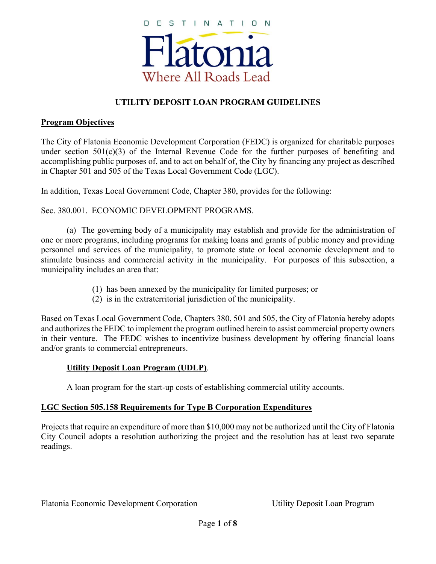

### **UTILITY DEPOSIT LOAN PROGRAM GUIDELINES**

#### **Program Objectives**

The City of Flatonia Economic Development Corporation (FEDC) is organized for charitable purposes under section  $501(c)(3)$  of the Internal Revenue Code for the further purposes of benefiting and accomplishing public purposes of, and to act on behalf of, the City by financing any project as described in Chapter 501 and 505 of the Texas Local Government Code (LGC).

In addition, Texas Local Government Code, Chapter 380, provides for the following:

Sec. 380.001. ECONOMIC DEVELOPMENT PROGRAMS.

(a) The governing body of a municipality may establish and provide for the administration of one or more programs, including programs for making loans and grants of public money and providing personnel and services of the municipality, to promote state or local economic development and to stimulate business and commercial activity in the municipality. For purposes of this subsection, a municipality includes an area that:

- (1) has been annexed by the municipality for limited purposes; or
- (2) is in the extraterritorial jurisdiction of the municipality.

Based on Texas Local Government Code, Chapters 380, 501 and 505, the City of Flatonia hereby adopts and authorizes the FEDC to implement the program outlined herein to assist commercial property owners in their venture. The FEDC wishes to incentivize business development by offering financial loans and/or grants to commercial entrepreneurs.

#### **Utility Deposit Loan Program (UDLP)**.

A loan program for the start-up costs of establishing commercial utility accounts.

#### **LGC Section 505.158 Requirements for Type B Corporation Expenditures**

Projects that require an expenditure of more than \$10,000 may not be authorized until the City of Flatonia City Council adopts a resolution authorizing the project and the resolution has at least two separate readings.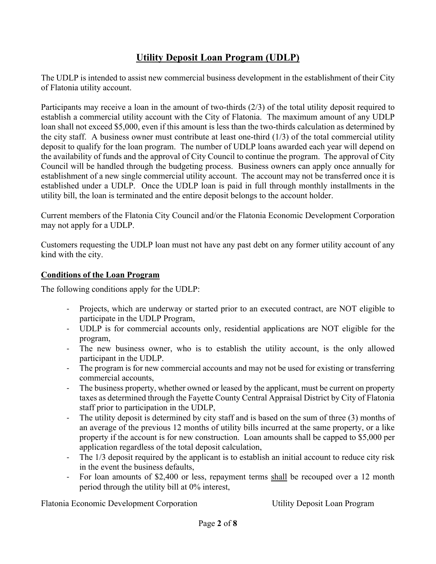# **Utility Deposit Loan Program (UDLP)**

The UDLP is intended to assist new commercial business development in the establishment of their City of Flatonia utility account.

Participants may receive a loan in the amount of two-thirds (2/3) of the total utility deposit required to establish a commercial utility account with the City of Flatonia. The maximum amount of any UDLP loan shall not exceed \$5,000, even if this amount is less than the two-thirds calculation as determined by the city staff. A business owner must contribute at least one-third (1/3) of the total commercial utility deposit to qualify for the loan program. The number of UDLP loans awarded each year will depend on the availability of funds and the approval of City Council to continue the program. The approval of City Council will be handled through the budgeting process. Business owners can apply once annually for establishment of a new single commercial utility account. The account may not be transferred once it is established under a UDLP. Once the UDLP loan is paid in full through monthly installments in the utility bill, the loan is terminated and the entire deposit belongs to the account holder.

Current members of the Flatonia City Council and/or the Flatonia Economic Development Corporation may not apply for a UDLP.

Customers requesting the UDLP loan must not have any past debt on any former utility account of any kind with the city.

#### **Conditions of the Loan Program**

The following conditions apply for the UDLP:

- ‐ Projects, which are underway or started prior to an executed contract, are NOT eligible to participate in the UDLP Program,
- ‐ UDLP is for commercial accounts only, residential applications are NOT eligible for the program,
- ‐ The new business owner, who is to establish the utility account, is the only allowed participant in the UDLP.
- The program is for new commercial accounts and may not be used for existing or transferring commercial accounts,
- ‐ The business property, whether owned or leased by the applicant, must be current on property taxes as determined through the Fayette County Central Appraisal District by City of Flatonia staff prior to participation in the UDLP,
- ‐ The utility deposit is determined by city staff and is based on the sum of three (3) months of an average of the previous 12 months of utility bills incurred at the same property, or a like property if the account is for new construction. Loan amounts shall be capped to \$5,000 per application regardless of the total deposit calculation,
- ‐ The 1/3 deposit required by the applicant is to establish an initial account to reduce city risk in the event the business defaults,
- ‐ For loan amounts of \$2,400 or less, repayment terms shall be recouped over a 12 month period through the utility bill at 0% interest,

Flatonia Economic Development Corporation Utility Deposit Loan Program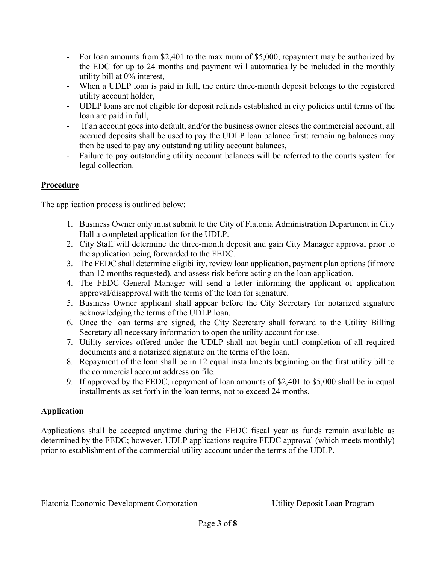- ‐ For loan amounts from \$2,401 to the maximum of \$5,000, repayment may be authorized by the EDC for up to 24 months and payment will automatically be included in the monthly utility bill at 0% interest,
- ‐ When a UDLP loan is paid in full, the entire three-month deposit belongs to the registered utility account holder,
- ‐ UDLP loans are not eligible for deposit refunds established in city policies until terms of the loan are paid in full,
- ‐ If an account goes into default, and/or the business owner closes the commercial account, all accrued deposits shall be used to pay the UDLP loan balance first; remaining balances may then be used to pay any outstanding utility account balances,
- ‐ Failure to pay outstanding utility account balances will be referred to the courts system for legal collection.

### **Procedure**

The application process is outlined below:

- 1. Business Owner only must submit to the City of Flatonia Administration Department in City Hall a completed application for the UDLP.
- 2. City Staff will determine the three-month deposit and gain City Manager approval prior to the application being forwarded to the FEDC.
- 3. The FEDC shall determine eligibility, review loan application, payment plan options (if more than 12 months requested), and assess risk before acting on the loan application.
- 4. The FEDC General Manager will send a letter informing the applicant of application approval/disapproval with the terms of the loan for signature.
- 5. Business Owner applicant shall appear before the City Secretary for notarized signature acknowledging the terms of the UDLP loan.
- 6. Once the loan terms are signed, the City Secretary shall forward to the Utility Billing Secretary all necessary information to open the utility account for use.
- 7. Utility services offered under the UDLP shall not begin until completion of all required documents and a notarized signature on the terms of the loan.
- 8. Repayment of the loan shall be in 12 equal installments beginning on the first utility bill to the commercial account address on file.
- 9. If approved by the FEDC, repayment of loan amounts of \$2,401 to \$5,000 shall be in equal installments as set forth in the loan terms, not to exceed 24 months.

### **Application**

Applications shall be accepted anytime during the FEDC fiscal year as funds remain available as determined by the FEDC; however, UDLP applications require FEDC approval (which meets monthly) prior to establishment of the commercial utility account under the terms of the UDLP.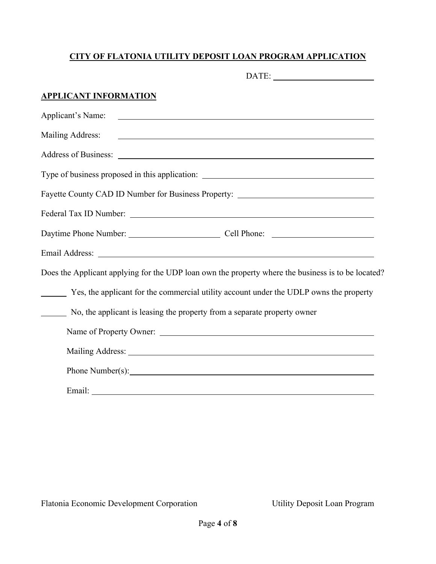## **CITY OF FLATONIA UTILITY DEPOSIT LOAN PROGRAM APPLICATION**

| <u>APPLICANT INFORMATION</u> |                                                                                                                                                                                                                                      |
|------------------------------|--------------------------------------------------------------------------------------------------------------------------------------------------------------------------------------------------------------------------------------|
| Applicant's Name:            | <u> 1989 - Johann Barbara, martin amerikan basar dan berasal dan berasal dalam basar dalam basar dalam basar dala</u>                                                                                                                |
| <b>Mailing Address:</b>      | <u> 1989 - Johann John Stone, markin film yn y brening yn y brening yn y brening yn y brening y brening yn y bre</u>                                                                                                                 |
|                              | Address of Business: <u>2008 and 2008</u> and 2008 and 2008 and 2008 and 2008 and 2008 and 2008 and 2008 and 2008 and 2008 and 2008 and 2008 and 2008 and 2008 and 2008 and 2008 and 2008 and 2008 and 2008 and 2008 and 2008 and 2  |
|                              | Type of business proposed in this application: __________________________________                                                                                                                                                    |
|                              | Fayette County CAD ID Number for Business Property: ____________________________                                                                                                                                                     |
|                              | Federal Tax ID Number: <u>2000 and 2000 and 2000 and 2000 and 2000 and 2000 and 2000 and 2000 and 2000 and 2000 and 2000 and 2000 and 2000 and 2000 and 2000 and 2000 and 2000 and 2000 and 2000 and 2000 and 2000 and 2000 and </u> |
|                              | Daytime Phone Number: Cell Phone: Cell Phone:                                                                                                                                                                                        |
|                              |                                                                                                                                                                                                                                      |
|                              | Does the Applicant applying for the UDP loan own the property where the business is to be located?                                                                                                                                   |
|                              | Yes, the applicant for the commercial utility account under the UDLP owns the property                                                                                                                                               |
|                              | No, the applicant is leasing the property from a separate property owner                                                                                                                                                             |
|                              | Name of Property Owner:                                                                                                                                                                                                              |
|                              |                                                                                                                                                                                                                                      |
|                              |                                                                                                                                                                                                                                      |
| Email:                       |                                                                                                                                                                                                                                      |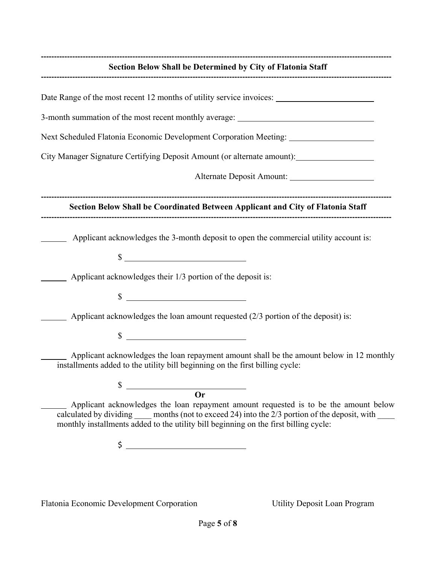| Section Below Shall be Determined by City of Flatonia Staff                                                                                                                                                                                                                                         |  |  |
|-----------------------------------------------------------------------------------------------------------------------------------------------------------------------------------------------------------------------------------------------------------------------------------------------------|--|--|
|                                                                                                                                                                                                                                                                                                     |  |  |
| 3-month summation of the most recent monthly average: __________________________                                                                                                                                                                                                                    |  |  |
| Next Scheduled Flatonia Economic Development Corporation Meeting: _______________                                                                                                                                                                                                                   |  |  |
| City Manager Signature Certifying Deposit Amount (or alternate amount): ___________________________                                                                                                                                                                                                 |  |  |
| Alternate Deposit Amount:                                                                                                                                                                                                                                                                           |  |  |
| Section Below Shall be Coordinated Between Applicant and City of Flatonia Staff                                                                                                                                                                                                                     |  |  |
| Applicant acknowledges the 3-month deposit to open the commercial utility account is:<br>$\frac{1}{2}$                                                                                                                                                                                              |  |  |
| Applicant acknowledges their 1/3 portion of the deposit is:                                                                                                                                                                                                                                         |  |  |
| $\int$                                                                                                                                                                                                                                                                                              |  |  |
| Applicant acknowledges the loan amount requested (2/3 portion of the deposit) is:                                                                                                                                                                                                                   |  |  |
| $\sim$                                                                                                                                                                                                                                                                                              |  |  |
| Applicant acknowledges the loan repayment amount shall be the amount below in 12 monthly<br>installments added to the utility bill beginning on the first billing cycle:                                                                                                                            |  |  |
| \$                                                                                                                                                                                                                                                                                                  |  |  |
| <b>Or</b><br>Applicant acknowledges the loan repayment amount requested is to be the amount below<br>calculated by dividing _____ months (not to exceed 24) into the 2/3 portion of the deposit, with _____<br>monthly installments added to the utility bill beginning on the first billing cycle: |  |  |
| <u> 1980 - Johann Barbara, martin a</u><br>\$                                                                                                                                                                                                                                                       |  |  |

Flatonia Economic Development Corporation Utility Deposit Loan Program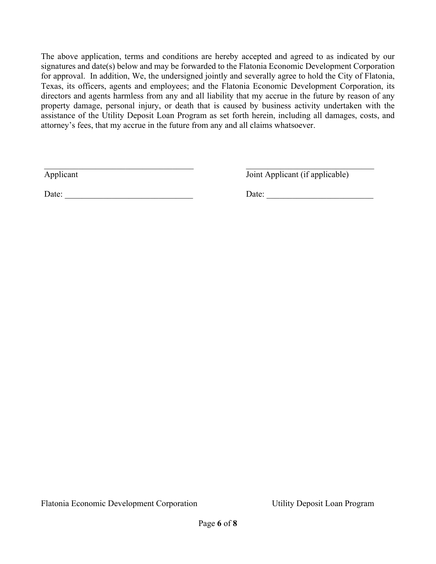The above application, terms and conditions are hereby accepted and agreed to as indicated by our signatures and date(s) below and may be forwarded to the Flatonia Economic Development Corporation for approval. In addition, We, the undersigned jointly and severally agree to hold the City of Flatonia, Texas, its officers, agents and employees; and the Flatonia Economic Development Corporation, its directors and agents harmless from any and all liability that my accrue in the future by reason of any property damage, personal injury, or death that is caused by business activity undertaken with the assistance of the Utility Deposit Loan Program as set forth herein, including all damages, costs, and attorney's fees, that my accrue in the future from any and all claims whatsoever.

Applicant Joint Applicant (if applicable)

Date: \_\_\_\_\_\_\_\_\_\_\_\_\_\_\_\_\_\_\_\_\_\_\_\_\_\_\_\_\_\_ Date: \_\_\_\_\_\_\_\_\_\_\_\_\_\_\_\_\_\_\_\_\_\_\_\_\_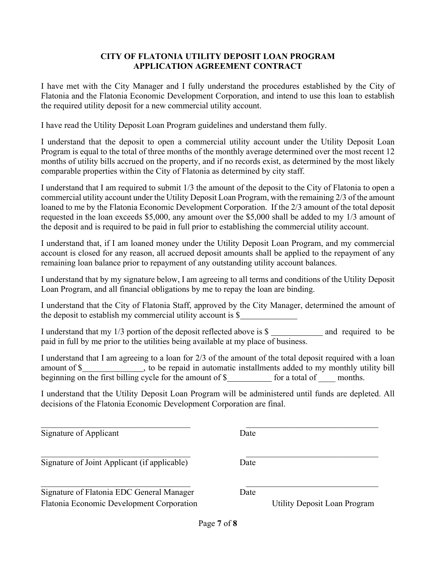#### **CITY OF FLATONIA UTILITY DEPOSIT LOAN PROGRAM APPLICATION AGREEMENT CONTRACT**

I have met with the City Manager and I fully understand the procedures established by the City of Flatonia and the Flatonia Economic Development Corporation, and intend to use this loan to establish the required utility deposit for a new commercial utility account.

I have read the Utility Deposit Loan Program guidelines and understand them fully.

I understand that the deposit to open a commercial utility account under the Utility Deposit Loan Program is equal to the total of three months of the monthly average determined over the most recent 12 months of utility bills accrued on the property, and if no records exist, as determined by the most likely comparable properties within the City of Flatonia as determined by city staff.

I understand that I am required to submit 1/3 the amount of the deposit to the City of Flatonia to open a commercial utility account under the Utility Deposit Loan Program, with the remaining 2/3 of the amount loaned to me by the Flatonia Economic Development Corporation. If the 2/3 amount of the total deposit requested in the loan exceeds \$5,000, any amount over the \$5,000 shall be added to my 1/3 amount of the deposit and is required to be paid in full prior to establishing the commercial utility account.

I understand that, if I am loaned money under the Utility Deposit Loan Program, and my commercial account is closed for any reason, all accrued deposit amounts shall be applied to the repayment of any remaining loan balance prior to repayment of any outstanding utility account balances.

I understand that by my signature below, I am agreeing to all terms and conditions of the Utility Deposit Loan Program, and all financial obligations by me to repay the loan are binding.

I understand that the City of Flatonia Staff, approved by the City Manager, determined the amount of the deposit to establish my commercial utility account is \$

I understand that my  $1/3$  portion of the deposit reflected above is  $\frac{1}{3}$  and required to be paid in full by me prior to the utilities being available at my place of business.

I understand that I am agreeing to a loan for 2/3 of the amount of the total deposit required with a loan amount of \$ beginning on the first billing cycle for the amount of  $\frac{1}{2}$  for a total of months.

I understand that the Utility Deposit Loan Program will be administered until funds are depleted. All decisions of the Flatonia Economic Development Corporation are final.

Signature of Applicant Date

Signature of Joint Applicant (if applicable) Date

Flatonia Economic Development Corporation Utility Deposit Loan Program Signature of Flatonia EDC General Manager Date